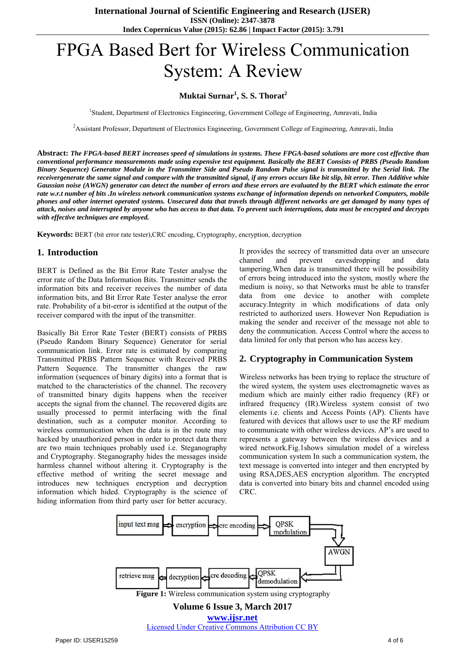# FPGA Based Bert for Wireless Communication System: A Review

## **Muktai Surnar<sup>1</sup> , S. S. Thorat<sup>2</sup>**

<sup>1</sup>Student, Department of Electronics Engineering, Government College of Engineering, Amravati, India

<sup>2</sup>Assistant Professor, Department of Electronics Engineering, Government College of Engineering, Amravati, India

**Abstract:** *The FPGA-based BERT increases speed of simulations in systems. These FPGA-based solutions are more cost effective than conventional performance measurements made using expensive test equipment. Basically the BERT Consists of PRBS (Pseudo Random Binary Sequence) Generator Module in the Transmitter Side and Pseudo Random Pulse signal is transmitted by the Serial link. The receivergenerate the same signal and compare with the transmitted signal, if any errors occurs like bit slip, bit error. Then Additive white Gaussian noise (AWGN) generator can detect the number of errors and these errors are evaluated by the BERT which estimate the error rate w.r.t number of bits .In wireless network communication systems exchange of information depends on networked Computers, mobile phones and other internet operated systems. Unsecured data that travels through different networks are get damaged by many types of attack, noises and interrupted by anyone who has access to that data. To prevent such interruptions, data must be encrypted and decrypts with effective techniques are employed.* 

**Keywords:** BERT (bit error rate tester),CRC encoding, Cryptography, encryption, decryption

#### **1. Introduction**

BERT is Defined as the Bit Error Rate Tester analyse the error rate of the Data Information Bits. Transmitter sends the information bits and receiver receives the number of data information bits, and Bit Error Rate Tester analyse the error rate. Probability of a bit-error is identified at the output of the receiver compared with the input of the transmitter.

Basically Bit Error Rate Tester (BERT) consists of PRBS (Pseudo Random Binary Sequence) Generator for serial communication link. Error rate is estimated by comparing Transmitted PRBS Pattern Sequence with Received PRBS Pattern Sequence. The transmitter changes the raw information (sequences of binary digits) into a format that is matched to the characteristics of the channel. The recovery of transmitted binary digits happens when the receiver accepts the signal from the channel. The recovered digits are usually processed to permit interfacing with the final destination, such as a computer monitor. According to wireless communication when the data is in the route may hacked by unauthorized person in order to protect data there are two main techniques probably used i.e. Steganography and Cryptography. Steganography hides the messages inside harmless channel without altering it. Cryptography is the effective method of writing the secret message and introduces new techniques encryption and decryption information which hided. Cryptography is the science of hiding information from third party user for better accuracy.

It provides the secrecy of transmitted data over an unsecure channel and prevent eavesdropping and data tampering.When data is transmitted there will be possibility of errors being introduced into the system, mostly where the medium is noisy, so that Networks must be able to transfer data from one device to another with complete accuracy.Integrity in which modifications of data only restricted to authorized users. However Non Repudiation is making the sender and receiver of the message not able to deny the communication. Access Control where the access to data limited for only that person who has access key.

## **2. Cryptography in Communication System**

Wireless networks has been trying to replace the structure of the wired system, the system uses electromagnetic waves as medium which are mainly either radio frequency (RF) or infrared frequency (IR).Wireless system consist of two elements i.e. clients and Access Points (AP). Clients have featured with devices that allows user to use the RF medium to communicate with other wireless devices. AP's are used to represents a gateway between the wireless devices and a wired network.Fig.1shows simulation model of a wireless communication system In such a communication system, the text message is converted into integer and then encrypted by using RSA,DES,AES encryption algorithm. The encrypted data is converted into binary bits and channel encoded using CRC.

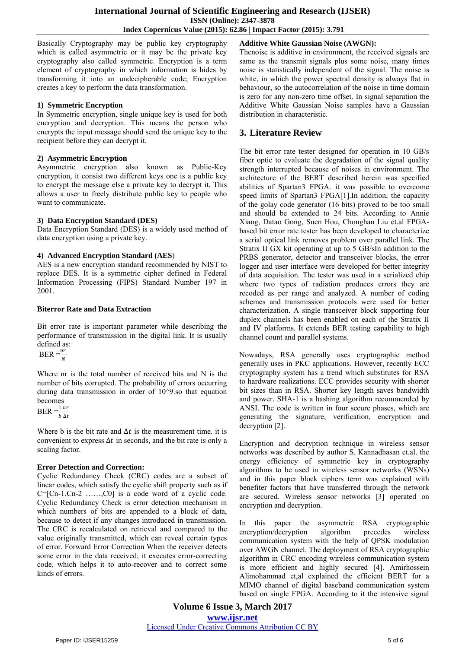Basically Cryptography may be public key cryptography which is called asymmetric or it may be the private key cryptography also called symmetric. Encryption is a term element of cryptography in which information is hides by transforming it into an undecipherable code; Encryption creates a key to perform the data transformation.

#### **1) Symmetric Encryption**

In Symmetric encryption, single unique key is used for both encryption and decryption. This means the person who encrypts the input message should send the unique key to the recipient before they can decrypt it.

#### **2) Asymmetric Encryption**

Asymmetric encryption also known as Public-Key encryption, it consist two different keys one is a public key to encrypt the message else a private key to decrypt it. This allows a user to freely distribute public key to people who want to communicate.

## **3) Data Encryption Standard (DES)**

Data Encryption Standard (DES) is a widely used method of data encryption using a private key.

#### **4) Advanced Encryption Standard (AES**)

AES is a new encryption standard recommended by NIST to replace DES. It is a symmetric cipher defined in Federal Information Processing (FIPS) Standard Number 197 in 2001.

#### **Biterror Rate and Data Extraction**

Bit error rate is important parameter while describing the performance of transmission in the digital link. It is usually defined as:

 $BER = \frac{nr}{N}$ 

Where nr is the total number of received bits and N is the number of bits corrupted. The probability of errors occurring during data transmission in order of 10^9.so that equation becomes

 $BER = \frac{1}{b}$  $nr$  $\Delta t$ 

Where b is the bit rate and  $\Delta t$  is the measurement time, it is convenient to express  $\Delta t$  in seconds, and the bit rate is only a scaling factor.

## **Error Detection and Correction:**

Cyclic Redundancy Check (CRC) codes are a subset of linear codes, which satisfy the cyclic shift property such as if  $C=[Cn-1,Cn-2$  ......, $C0]$  is a code word of a cyclic code. Cyclic Redundancy Check is error detection mechanism in which numbers of bits are appended to a block of data, because to detect if any changes introduced in transmission. The CRC is recalculated on retrieval and compared to the value originally transmitted, which can reveal certain types of error. Forward Error Correction When the receiver detects some error in the data received; it executes error-correcting code, which helps it to auto-recover and to correct some kinds of errors.

**Additive White Gaussian Noise (AWGN):** Thenoise is additive in environment, the received signals are same as the transmit signals plus some noise, many times noise is statistically independent of the signal. The noise is white, in which the power spectral density is always flat in behaviour, so the autocorrelation of the noise in time domain is zero for any non-zero time offset. In signal separation the Additive White Gaussian Noise samples have a Gaussian distribution in characteristic.

# **3. Literature Review**

The bit error rate tester designed for operation in 10 GB/s fiber optic to evaluate the degradation of the signal quality strength interrupted because of noises in environment. The architecture of the BERT described herein was specified abilities of Spartan3 FPGA. it was possible to overcome speed limits of Spartan3 FPGA[1].In addition, the capacity of the golay code generator (16 bits) proved to be too small and should be extended to 24 bits. According to Annie Xiang, Datao Gong, Suen Hou, Chonghan Liu et.al FPGAbased bit error rate tester has been developed to characterize a serial optical link removes problem over parallel link. The Stratix II GX kit operating at up to 5 GB/sIn addition to the PRBS generator, detector and transceiver blocks, the error logger and user interface were developed for better integrity of data acquisition. The tester was used in a serialized chip where two types of radiation produces errors they are recoded as per range and analyzed. A number of coding schemes and transmission protocols were used for better characterization. A single transceiver block supporting four duplex channels has been enabled on each of the Stratix II and IV platforms. It extends BER testing capability to high channel count and parallel systems.

Nowadays, RSA generally uses cryptographic method generally uses in PKC applications. However, recently ECC cryptography system has a trend which substitutes for RSA to hardware realizations. ECC provides security with shorter bit sizes than in RSA. Shorter key length saves bandwidth and power. SHA-1 is a hashing algorithm recommended by ANSI. The code is written in four secure phases, which are generating the signature, verification, encryption and decryption [2].

Encryption and decryption technique in wireless sensor networks was described by author S. Kannadhasan et.al. the energy efficiency of symmetric key in cryptography algorithms to be used in wireless sensor networks (WSNs) and in this paper block ciphers term was explained with benefiter factors that have transferred through the network are secured. Wireless sensor networks [3] operated on encryption and decryption.

In this paper the asymmetric RSA cryptographic encryption/decryption algorithm precedes wireless communication system with the help of QPSK modulation over AWGN channel. The deployment of RSA cryptographic algorithm in CRC encoding wireless communication system is more efficient and highly secured [4]. Amirhossein Alimohammad et,al explained the efficient BERT for a MIMO channel of digital baseband communication system based on single FPGA. According to it the intensive signal

**Volume 6 Issue 3, March 2017 www.ijsr.net** Licensed Under Creative Commons Attribution CC BY